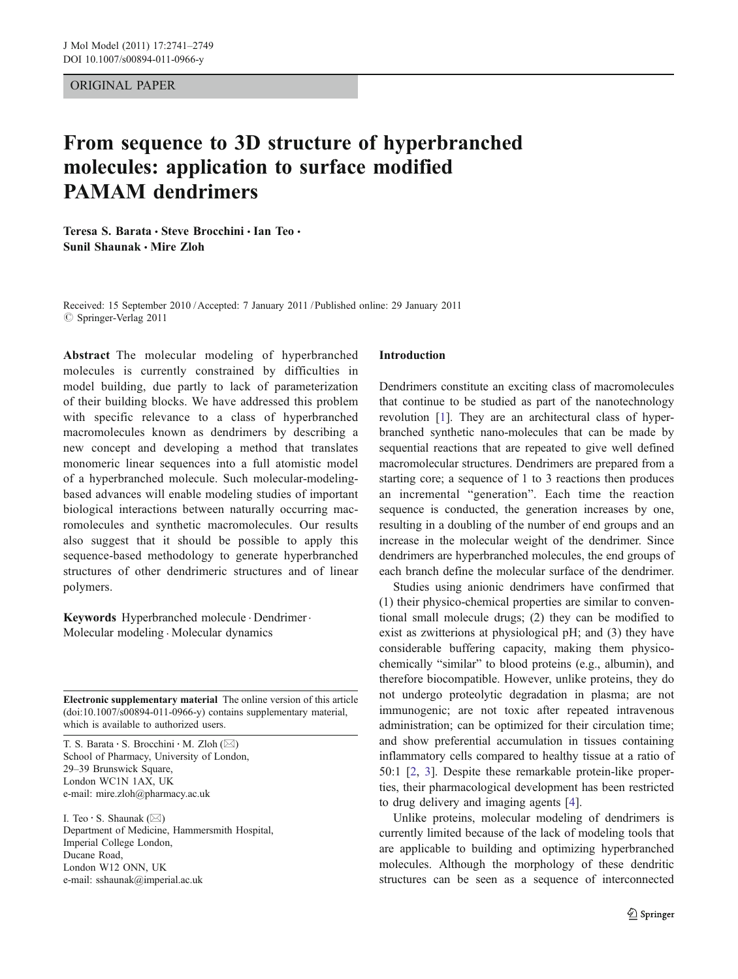### ORIGINAL PAPER

# From sequence to 3D structure of hyperbranched molecules: application to surface modified PAMAM dendrimers

Teresa S. Barata · Steve Brocchini · Ian Teo · Sunil Shaunak & Mire Zloh

Received: 15 September 2010 /Accepted: 7 January 2011 / Published online: 29 January 2011  $\oslash$  Springer-Verlag 2011

Abstract The molecular modeling of hyperbranched molecules is currently constrained by difficulties in model building, due partly to lack of parameterization of their building blocks. We have addressed this problem with specific relevance to a class of hyperbranched macromolecules known as dendrimers by describing a new concept and developing a method that translates monomeric linear sequences into a full atomistic model of a hyperbranched molecule. Such molecular-modelingbased advances will enable modeling studies of important biological interactions between naturally occurring macromolecules and synthetic macromolecules. Our results also suggest that it should be possible to apply this sequence-based methodology to generate hyperbranched structures of other dendrimeric structures and of linear polymers.

Keywords Hyperbranched molecule . Dendrimer. Molecular modeling . Molecular dynamics

Electronic supplementary material The online version of this article (doi:[10.1007/s00894-011-0966-y\)](http://dx.doi.org/10.1007/s00894-011-0966-y) contains supplementary material, which is available to authorized users.

T. S. Barata · S. Brocchini · M. Zloh  $(\boxtimes)$ School of Pharmacy, University of London, 29–39 Brunswick Square, London WC1N 1AX, UK e-mail: mire.zloh@pharmacy.ac.uk

I. Teo  $\cdot$  S. Shaunak ( $\boxtimes$ ) Department of Medicine, Hammersmith Hospital, Imperial College London, Ducane Road, London W12 ONN, UK e-mail: sshaunak@imperial.ac.uk

#### Introduction

Dendrimers constitute an exciting class of macromolecules that continue to be studied as part of the nanotechnology revolution [[1\]](#page-7-0). They are an architectural class of hyperbranched synthetic nano-molecules that can be made by sequential reactions that are repeated to give well defined macromolecular structures. Dendrimers are prepared from a starting core; a sequence of 1 to 3 reactions then produces an incremental "generation". Each time the reaction sequence is conducted, the generation increases by one, resulting in a doubling of the number of end groups and an increase in the molecular weight of the dendrimer. Since dendrimers are hyperbranched molecules, the end groups of each branch define the molecular surface of the dendrimer.

Studies using anionic dendrimers have confirmed that (1) their physico-chemical properties are similar to conventional small molecule drugs; (2) they can be modified to exist as zwitterions at physiological pH; and (3) they have considerable buffering capacity, making them physicochemically "similar" to blood proteins (e.g., albumin), and therefore biocompatible. However, unlike proteins, they do not undergo proteolytic degradation in plasma; are not immunogenic; are not toxic after repeated intravenous administration; can be optimized for their circulation time; and show preferential accumulation in tissues containing inflammatory cells compared to healthy tissue at a ratio of 50:1 [\[2](#page-7-0), [3\]](#page-7-0). Despite these remarkable protein-like properties, their pharmacological development has been restricted to drug delivery and imaging agents [\[4](#page-7-0)].

Unlike proteins, molecular modeling of dendrimers is currently limited because of the lack of modeling tools that are applicable to building and optimizing hyperbranched molecules. Although the morphology of these dendritic structures can be seen as a sequence of interconnected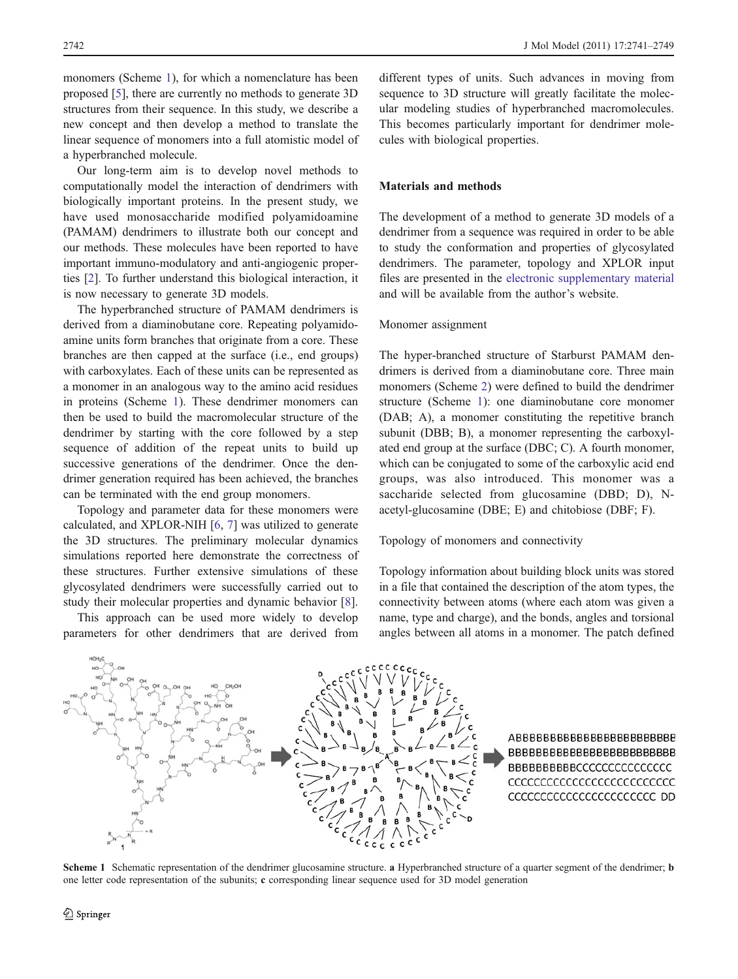monomers (Scheme 1), for which a nomenclature has been proposed [\[5](#page-7-0)], there are currently no methods to generate 3D structures from their sequence. In this study, we describe a new concept and then develop a method to translate the linear sequence of monomers into a full atomistic model of a hyperbranched molecule.

Our long-term aim is to develop novel methods to computationally model the interaction of dendrimers with biologically important proteins. In the present study, we have used monosaccharide modified polyamidoamine (PAMAM) dendrimers to illustrate both our concept and our methods. These molecules have been reported to have important immuno-modulatory and anti-angiogenic properties [\[2](#page-7-0)]. To further understand this biological interaction, it is now necessary to generate 3D models.

The hyperbranched structure of PAMAM dendrimers is derived from a diaminobutane core. Repeating polyamidoamine units form branches that originate from a core. These branches are then capped at the surface (i.e., end groups) with carboxylates. Each of these units can be represented as a monomer in an analogous way to the amino acid residues in proteins (Scheme 1). These dendrimer monomers can then be used to build the macromolecular structure of the dendrimer by starting with the core followed by a step sequence of addition of the repeat units to build up successive generations of the dendrimer. Once the dendrimer generation required has been achieved, the branches can be terminated with the end group monomers.

Topology and parameter data for these monomers were calculated, and XPLOR-NIH [\[6](#page-7-0), [7](#page-7-0)] was utilized to generate the 3D structures. The preliminary molecular dynamics simulations reported here demonstrate the correctness of these structures. Further extensive simulations of these glycosylated dendrimers were successfully carried out to study their molecular properties and dynamic behavior [\[8](#page-7-0)].

This approach can be used more widely to develop parameters for other dendrimers that are derived from different types of units. Such advances in moving from sequence to 3D structure will greatly facilitate the molecular modeling studies of hyperbranched macromolecules. This becomes particularly important for dendrimer molecules with biological properties.

#### Materials and methods

The development of a method to generate 3D models of a dendrimer from a sequence was required in order to be able to study the conformation and properties of glycosylated dendrimers. The parameter, topology and XPLOR input files are presented in the electronic supplementary material and will be available from the author's website.

#### Monomer assignment

The hyper-branched structure of Starburst PAMAM dendrimers is derived from a diaminobutane core. Three main monomers (Scheme [2\)](#page-2-0) were defined to build the dendrimer structure (Scheme 1): one diaminobutane core monomer (DAB; A), a monomer constituting the repetitive branch subunit (DBB; B), a monomer representing the carboxylated end group at the surface (DBC; C). A fourth monomer, which can be conjugated to some of the carboxylic acid end groups, was also introduced. This monomer was a saccharide selected from glucosamine (DBD; D), Nacetyl-glucosamine (DBE; E) and chitobiose (DBF; F).

#### Topology of monomers and connectivity

Topology information about building block units was stored in a file that contained the description of the atom types, the connectivity between atoms (where each atom was given a name, type and charge), and the bonds, angles and torsional angles between all atoms in a monomer. The patch defined



ABBBBBBBBBBBBBBBBBBBBBBBBB BBBBBBBBBBBBBBBBBBBBBBBBBB BBBBBBBBBBCCCCCCCCCCCCCCCCC ccccccccccccccccccccccccccc CCCCCCCCCCCCCCCCCCCCCCC DD

Scheme 1 Schematic representation of the dendrimer glucosamine structure. a Hyperbranched structure of a quarter segment of the dendrimer; **b** one letter code representation of the subunits; c corresponding linear sequence used for 3D model generation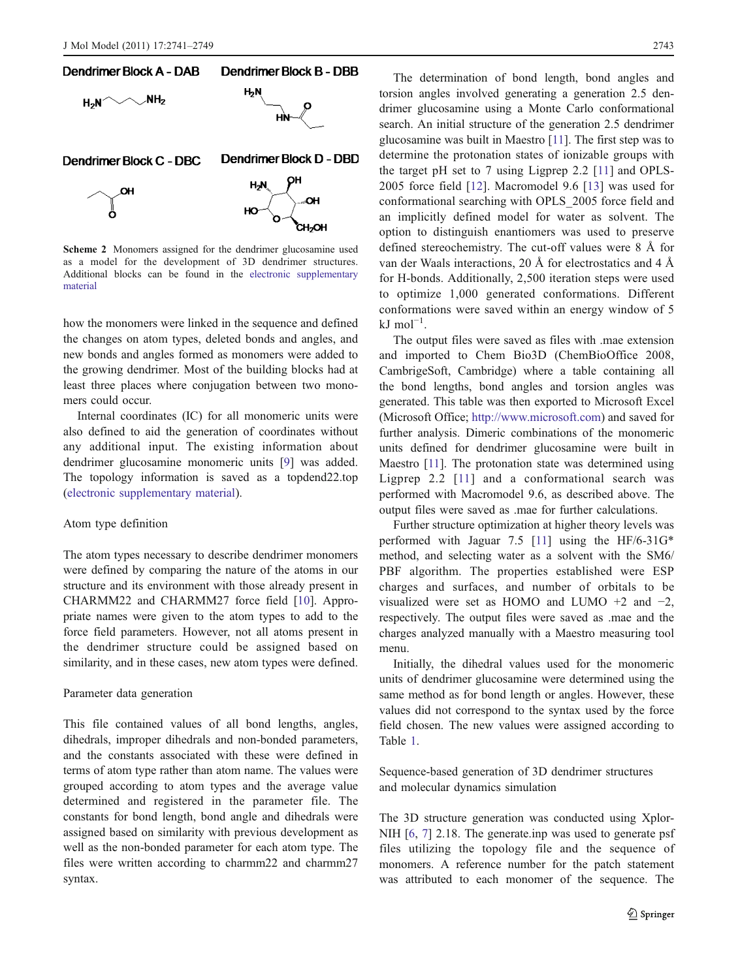<span id="page-2-0"></span>

Scheme 2 Monomers assigned for the dendrimer glucosamine used as a model for the development of 3D dendrimer structures. Additional blocks can be found in the electronic supplementary material

how the monomers were linked in the sequence and defined the changes on atom types, deleted bonds and angles, and new bonds and angles formed as monomers were added to the growing dendrimer. Most of the building blocks had at least three places where conjugation between two monomers could occur.

Internal coordinates (IC) for all monomeric units were also defined to aid the generation of coordinates without any additional input. The existing information about dendrimer glucosamine monomeric units [\[9](#page-7-0)] was added. The topology information is saved as a topdend22.top (electronic supplementary material).

#### Atom type definition

The atom types necessary to describe dendrimer monomers were defined by comparing the nature of the atoms in our structure and its environment with those already present in CHARMM22 and CHARMM27 force field [\[10](#page-7-0)]. Appropriate names were given to the atom types to add to the force field parameters. However, not all atoms present in the dendrimer structure could be assigned based on similarity, and in these cases, new atom types were defined.

#### Parameter data generation

This file contained values of all bond lengths, angles, dihedrals, improper dihedrals and non-bonded parameters, and the constants associated with these were defined in terms of atom type rather than atom name. The values were grouped according to atom types and the average value determined and registered in the parameter file. The constants for bond length, bond angle and dihedrals were assigned based on similarity with previous development as well as the non-bonded parameter for each atom type. The files were written according to charmm22 and charmm27 syntax.

The determination of bond length, bond angles and torsion angles involved generating a generation 2.5 dendrimer glucosamine using a Monte Carlo conformational search. An initial structure of the generation 2.5 dendrimer glucosamine was built in Maestro [[11\]](#page-7-0). The first step was to determine the protonation states of ionizable groups with the target pH set to 7 using Ligprep 2.2 [\[11](#page-7-0)] and OPLS-2005 force field [[12\]](#page-7-0). Macromodel 9.6 [[13](#page-7-0)] was used for conformational searching with OPLS\_2005 force field and an implicitly defined model for water as solvent. The option to distinguish enantiomers was used to preserve defined stereochemistry. The cut-off values were 8 Å for van der Waals interactions, 20 Å for electrostatics and 4 Å for H-bonds. Additionally, 2,500 iteration steps were used to optimize 1,000 generated conformations. Different conformations were saved within an energy window of 5 kJ mol $^{-1}$ .

The output files were saved as files with .mae extension and imported to Chem Bio3D (ChemBioOffice 2008, CambrigeSoft, Cambridge) where a table containing all the bond lengths, bond angles and torsion angles was generated. This table was then exported to Microsoft Excel (Microsoft Office; <http://www.microsoft.com>) and saved for further analysis. Dimeric combinations of the monomeric units defined for dendrimer glucosamine were built in Maestro [[11](#page-7-0)]. The protonation state was determined using Ligprep 2.2 [[11](#page-7-0)] and a conformational search was performed with Macromodel 9.6, as described above. The output files were saved as .mae for further calculations.

Further structure optimization at higher theory levels was performed with Jaguar 7.5 [\[11](#page-7-0)] using the HF/6-31G\* method, and selecting water as a solvent with the SM6/ PBF algorithm. The properties established were ESP charges and surfaces, and number of orbitals to be visualized were set as HOMO and LUMO +2 and  $-2$ , respectively. The output files were saved as .mae and the charges analyzed manually with a Maestro measuring tool menu.

Initially, the dihedral values used for the monomeric units of dendrimer glucosamine were determined using the same method as for bond length or angles. However, these values did not correspond to the syntax used by the force field chosen. The new values were assigned according to Table [1](#page-3-0).

Sequence-based generation of 3D dendrimer structures and molecular dynamics simulation

The 3D structure generation was conducted using Xplor-NIH [\[6](#page-7-0), [7\]](#page-7-0) 2.18. The generate.inp was used to generate psf files utilizing the topology file and the sequence of monomers. A reference number for the patch statement was attributed to each monomer of the sequence. The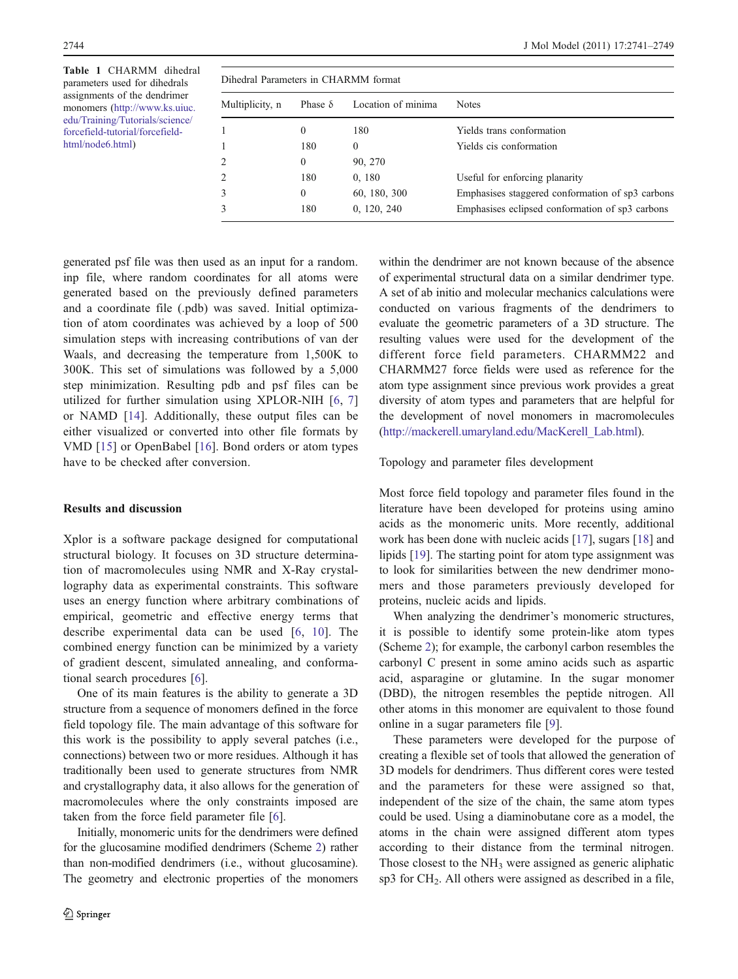<span id="page-3-0"></span>Table 1 CHARMM dihedral parameters used for dihedrals assignments of the dendrimer monomers [\(http://www.ks.uiuc.](http://www.ks.uiuc.edu/Training/Tutorials/science/forcefield-tutorial/forcefield-html/node6.html) [edu/Training/Tutorials/science/](http://www.ks.uiuc.edu/Training/Tutorials/science/forcefield-tutorial/forcefield-html/node6.html) [forcefield-tutorial/forcefield](http://www.ks.uiuc.edu/Training/Tutorials/science/forcefield-tutorial/forcefield-html/node6.html)[html/node6.html\)](http://www.ks.uiuc.edu/Training/Tutorials/science/forcefield-tutorial/forcefield-html/node6.html)

| Dihedral Parameters in CHARMM format |                |                    |                                                  |
|--------------------------------------|----------------|--------------------|--------------------------------------------------|
| Multiplicity, n                      | Phase $\delta$ | Location of minima | <b>Notes</b>                                     |
|                                      | $\theta$       | 180                | Yields trans conformation                        |
| $\mathbf{1}$                         | 180            | $\theta$           | Yields cis conformation                          |
| 2                                    | $\mathbf{0}$   | 90, 270            |                                                  |
| 2                                    | 180            | 0, 180             | Useful for enforcing planarity                   |
| 3                                    | $\theta$       | 60, 180, 300       | Emphasises staggered conformation of sp3 carbons |
| 3                                    | 180            | 0, 120, 240        | Emphasises eclipsed conformation of sp3 carbons  |

generated psf file was then used as an input for a random. inp file, where random coordinates for all atoms were generated based on the previously defined parameters and a coordinate file (.pdb) was saved. Initial optimization of atom coordinates was achieved by a loop of 500 simulation steps with increasing contributions of van der Waals, and decreasing the temperature from 1,500K to 300K. This set of simulations was followed by a 5,000 step minimization. Resulting pdb and psf files can be utilized for further simulation using XPLOR-NIH [\[6](#page-7-0), [7\]](#page-7-0) or NAMD [\[14](#page-7-0)]. Additionally, these output files can be either visualized or converted into other file formats by VMD [[15](#page-7-0)] or OpenBabel [[16\]](#page-7-0). Bond orders or atom types have to be checked after conversion.

#### Results and discussion

Xplor is a software package designed for computational structural biology. It focuses on 3D structure determination of macromolecules using NMR and X-Ray crystallography data as experimental constraints. This software uses an energy function where arbitrary combinations of empirical, geometric and effective energy terms that describe experimental data can be used [\[6](#page-7-0), [10\]](#page-7-0). The combined energy function can be minimized by a variety of gradient descent, simulated annealing, and conformational search procedures [\[6](#page-7-0)].

One of its main features is the ability to generate a 3D structure from a sequence of monomers defined in the force field topology file. The main advantage of this software for this work is the possibility to apply several patches (i.e., connections) between two or more residues. Although it has traditionally been used to generate structures from NMR and crystallography data, it also allows for the generation of macromolecules where the only constraints imposed are taken from the force field parameter file [\[6](#page-7-0)].

Initially, monomeric units for the dendrimers were defined for the glucosamine modified dendrimers (Scheme [2\)](#page-2-0) rather than non-modified dendrimers (i.e., without glucosamine). The geometry and electronic properties of the monomers within the dendrimer are not known because of the absence of experimental structural data on a similar dendrimer type. A set of ab initio and molecular mechanics calculations were conducted on various fragments of the dendrimers to evaluate the geometric parameters of a 3D structure. The resulting values were used for the development of the different force field parameters. CHARMM22 and CHARMM27 force fields were used as reference for the atom type assignment since previous work provides a great diversity of atom types and parameters that are helpful for the development of novel monomers in macromolecules [\(http://mackerell.umaryland.edu/MacKerell\\_Lab.html\)](http://mackerell.umaryland.edu/MacKerell_Lab.html).

## Topology and parameter files development

Most force field topology and parameter files found in the literature have been developed for proteins using amino acids as the monomeric units. More recently, additional work has been done with nucleic acids [[17\]](#page-7-0), sugars [\[18](#page-7-0)] and lipids [[19\]](#page-8-0). The starting point for atom type assignment was to look for similarities between the new dendrimer monomers and those parameters previously developed for proteins, nucleic acids and lipids.

When analyzing the dendrimer's monomeric structures, it is possible to identify some protein-like atom types (Scheme [2](#page-2-0)); for example, the carbonyl carbon resembles the carbonyl C present in some amino acids such as aspartic acid, asparagine or glutamine. In the sugar monomer (DBD), the nitrogen resembles the peptide nitrogen. All other atoms in this monomer are equivalent to those found online in a sugar parameters file [\[9](#page-7-0)].

These parameters were developed for the purpose of creating a flexible set of tools that allowed the generation of 3D models for dendrimers. Thus different cores were tested and the parameters for these were assigned so that, independent of the size of the chain, the same atom types could be used. Using a diaminobutane core as a model, the atoms in the chain were assigned different atom types according to their distance from the terminal nitrogen. Those closest to the NH<sub>3</sub> were assigned as generic aliphatic sp3 for CH<sub>2</sub>. All others were assigned as described in a file,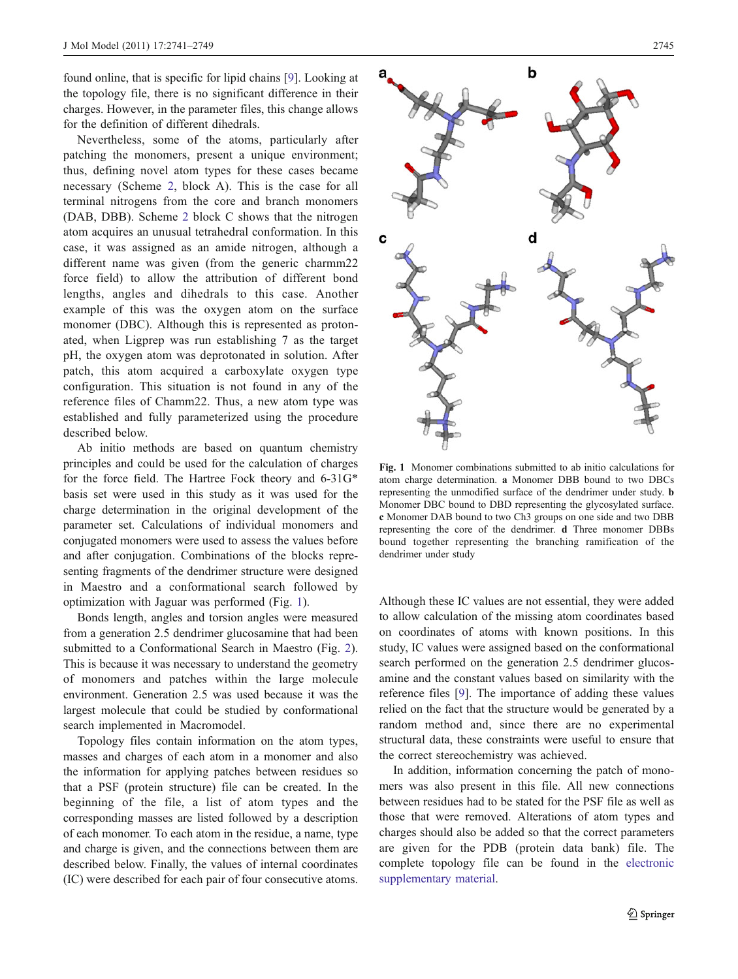found online, that is specific for lipid chains [\[9](#page-7-0)]. Looking at the topology file, there is no significant difference in their charges. However, in the parameter files, this change allows for the definition of different dihedrals.

Nevertheless, some of the atoms, particularly after patching the monomers, present a unique environment; thus, defining novel atom types for these cases became necessary (Scheme [2](#page-2-0), block A). This is the case for all terminal nitrogens from the core and branch monomers (DAB, DBB). Scheme [2](#page-2-0) block C shows that the nitrogen atom acquires an unusual tetrahedral conformation. In this case, it was assigned as an amide nitrogen, although a different name was given (from the generic charmm22 force field) to allow the attribution of different bond lengths, angles and dihedrals to this case. Another example of this was the oxygen atom on the surface monomer (DBC). Although this is represented as protonated, when Ligprep was run establishing 7 as the target pH, the oxygen atom was deprotonated in solution. After patch, this atom acquired a carboxylate oxygen type configuration. This situation is not found in any of the reference files of Chamm22. Thus, a new atom type was established and fully parameterized using the procedure described below.

Ab initio methods are based on quantum chemistry principles and could be used for the calculation of charges for the force field. The Hartree Fock theory and 6-31G\* basis set were used in this study as it was used for the charge determination in the original development of the parameter set. Calculations of individual monomers and conjugated monomers were used to assess the values before and after conjugation. Combinations of the blocks representing fragments of the dendrimer structure were designed in Maestro and a conformational search followed by optimization with Jaguar was performed (Fig. 1).

Bonds length, angles and torsion angles were measured from a generation 2.5 dendrimer glucosamine that had been submitted to a Conformational Search in Maestro (Fig. [2](#page-5-0)). This is because it was necessary to understand the geometry of monomers and patches within the large molecule environment. Generation 2.5 was used because it was the largest molecule that could be studied by conformational search implemented in Macromodel.

Topology files contain information on the atom types, masses and charges of each atom in a monomer and also the information for applying patches between residues so that a PSF (protein structure) file can be created. In the beginning of the file, a list of atom types and the corresponding masses are listed followed by a description of each monomer. To each atom in the residue, a name, type and charge is given, and the connections between them are described below. Finally, the values of internal coordinates (IC) were described for each pair of four consecutive atoms.



Fig. 1 Monomer combinations submitted to ab initio calculations for atom charge determination. a Monomer DBB bound to two DBCs representing the unmodified surface of the dendrimer under study. b Monomer DBC bound to DBD representing the glycosylated surface. c Monomer DAB bound to two Ch3 groups on one side and two DBB representing the core of the dendrimer. d Three monomer DBBs bound together representing the branching ramification of the dendrimer under study

Although these IC values are not essential, they were added to allow calculation of the missing atom coordinates based on coordinates of atoms with known positions. In this study, IC values were assigned based on the conformational search performed on the generation 2.5 dendrimer glucosamine and the constant values based on similarity with the reference files [\[9](#page-7-0)]. The importance of adding these values relied on the fact that the structure would be generated by a random method and, since there are no experimental structural data, these constraints were useful to ensure that the correct stereochemistry was achieved.

In addition, information concerning the patch of monomers was also present in this file. All new connections between residues had to be stated for the PSF file as well as those that were removed. Alterations of atom types and charges should also be added so that the correct parameters are given for the PDB (protein data bank) file. The complete topology file can be found in the electronic supplementary material.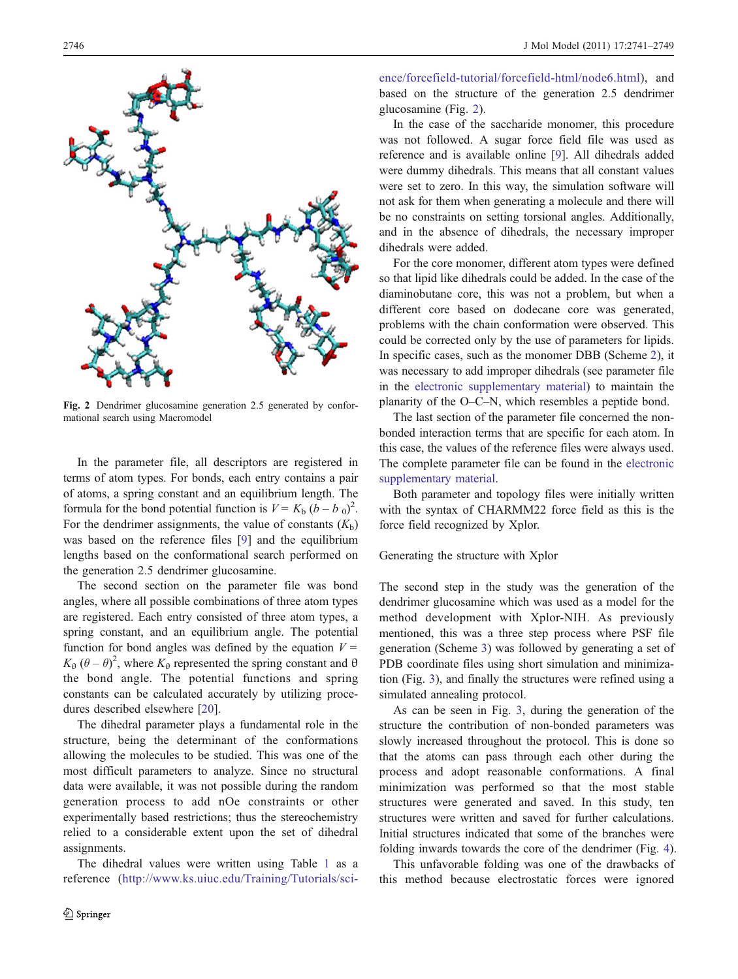<span id="page-5-0"></span>

Fig. 2 Dendrimer glucosamine generation 2.5 generated by conformational search using Macromodel

In the parameter file, all descriptors are registered in terms of atom types. For bonds, each entry contains a pair of atoms, a spring constant and an equilibrium length. The formula for the bond potential function is  $V = K_b (b - b_0)^2$ . For the dendrimer assignments, the value of constants  $(K_b)$ was based on the reference files [[9\]](#page-7-0) and the equilibrium lengths based on the conformational search performed on the generation 2.5 dendrimer glucosamine.

The second section on the parameter file was bond angles, where all possible combinations of three atom types are registered. Each entry consisted of three atom types, a spring constant, and an equilibrium angle. The potential function for bond angles was defined by the equation  $V =$  $K_{\theta}$  ( $\theta - \theta$ )<sup>2</sup>, where  $K_{\theta}$  represented the spring constant and  $\theta$ the bond angle. The potential functions and spring constants can be calculated accurately by utilizing procedures described elsewhere [[20\]](#page-8-0).

The dihedral parameter plays a fundamental role in the structure, being the determinant of the conformations allowing the molecules to be studied. This was one of the most difficult parameters to analyze. Since no structural data were available, it was not possible during the random generation process to add nOe constraints or other experimentally based restrictions; thus the stereochemistry relied to a considerable extent upon the set of dihedral assignments.

The dihedral values were written using Table [1](#page-3-0) as a reference ([http://www.ks.uiuc.edu/Training/Tutorials/sci-](http://www.ks.uiuc.edu/Training/Tutorials/science/forcefield-tutorial/forcefield-html/node6.html)

[ence/forcefield-tutorial/forcefield-html/node6.html\)](http://www.ks.uiuc.edu/Training/Tutorials/science/forcefield-tutorial/forcefield-html/node6.html), and based on the structure of the generation 2.5 dendrimer glucosamine (Fig. 2).

In the case of the saccharide monomer, this procedure was not followed. A sugar force field file was used as reference and is available online [\[9](#page-7-0)]. All dihedrals added were dummy dihedrals. This means that all constant values were set to zero. In this way, the simulation software will not ask for them when generating a molecule and there will be no constraints on setting torsional angles. Additionally, and in the absence of dihedrals, the necessary improper dihedrals were added.

For the core monomer, different atom types were defined so that lipid like dihedrals could be added. In the case of the diaminobutane core, this was not a problem, but when a different core based on dodecane core was generated, problems with the chain conformation were observed. This could be corrected only by the use of parameters for lipids. In specific cases, such as the monomer DBB (Scheme [2](#page-2-0)), it was necessary to add improper dihedrals (see parameter file in the electronic supplementary material) to maintain the planarity of the O–C–N, which resembles a peptide bond.

The last section of the parameter file concerned the nonbonded interaction terms that are specific for each atom. In this case, the values of the reference files were always used. The complete parameter file can be found in the electronic supplementary material.

Both parameter and topology files were initially written with the syntax of CHARMM22 force field as this is the force field recognized by Xplor.

#### Generating the structure with Xplor

The second step in the study was the generation of the dendrimer glucosamine which was used as a model for the method development with Xplor-NIH. As previously mentioned, this was a three step process where PSF file generation (Scheme [3\)](#page-6-0) was followed by generating a set of PDB coordinate files using short simulation and minimization (Fig. [3](#page-6-0)), and finally the structures were refined using a simulated annealing protocol.

As can be seen in Fig. [3,](#page-6-0) during the generation of the structure the contribution of non-bonded parameters was slowly increased throughout the protocol. This is done so that the atoms can pass through each other during the process and adopt reasonable conformations. A final minimization was performed so that the most stable structures were generated and saved. In this study, ten structures were written and saved for further calculations. Initial structures indicated that some of the branches were folding inwards towards the core of the dendrimer (Fig. [4\)](#page-6-0).

This unfavorable folding was one of the drawbacks of this method because electrostatic forces were ignored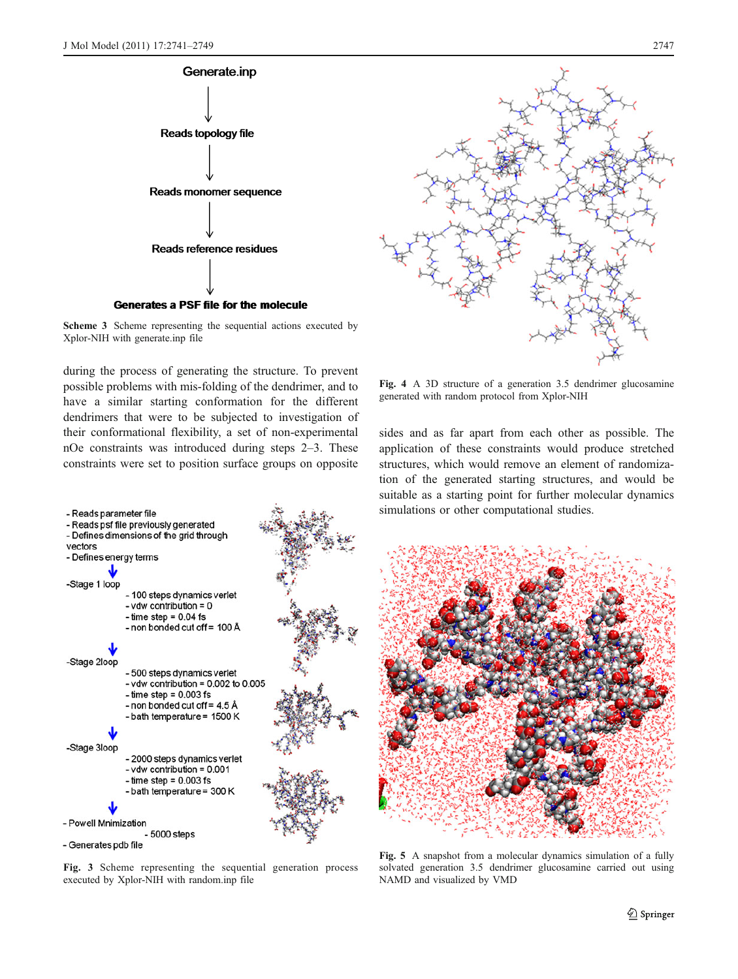<span id="page-6-0"></span>

Generates a PSF file for the molecule

Scheme 3 Scheme representing the sequential actions executed by Xplor-NIH with generate.inp file

during the process of generating the structure. To prevent possible problems with mis-folding of the dendrimer, and to have a similar starting conformation for the different dendrimers that were to be subjected to investigation of their conformational flexibility, a set of non-experimental nOe constraints was introduced during steps 2–3. These constraints were set to position surface groups on opposite



Fig. 3 Scheme representing the sequential generation process executed by Xplor-NIH with random.inp file





Fig. 4 A 3D structure of a generation 3.5 dendrimer glucosamine generated with random protocol from Xplor-NIH

sides and as far apart from each other as possible. The application of these constraints would produce stretched structures, which would remove an element of randomization of the generated starting structures, and would be suitable as a starting point for further molecular dynamics simulations or other computational studies.



Fig. 5 A snapshot from a molecular dynamics simulation of a fully solvated generation 3.5 dendrimer glucosamine carried out using NAMD and visualized by VMD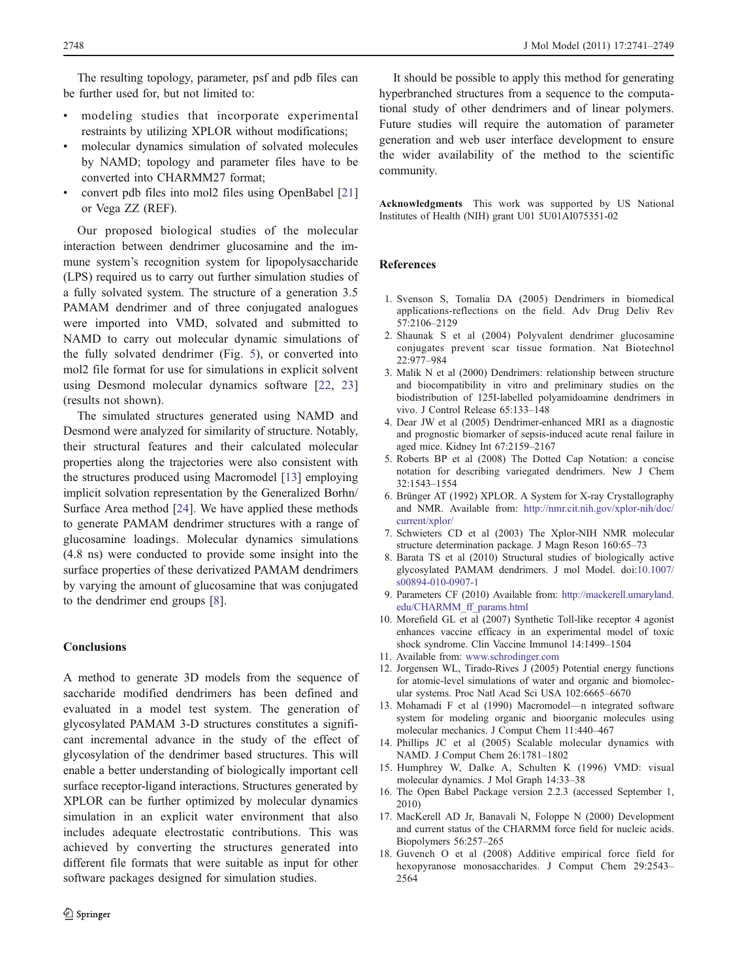<span id="page-7-0"></span>The resulting topology, parameter, psf and pdb files can be further used for, but not limited to:

- modeling studies that incorporate experimental restraints by utilizing XPLOR without modifications;
- molecular dynamics simulation of solvated molecules by NAMD; topology and parameter files have to be converted into CHARMM27 format;
- & convert pdb files into mol2 files using OpenBabel [[21\]](#page-8-0) or Vega ZZ (REF).

Our proposed biological studies of the molecular interaction between dendrimer glucosamine and the immune system's recognition system for lipopolysaccharide (LPS) required us to carry out further simulation studies of a fully solvated system. The structure of a generation 3.5 PAMAM dendrimer and of three conjugated analogues were imported into VMD, solvated and submitted to NAMD to carry out molecular dynamic simulations of the fully solvated dendrimer (Fig. [5\)](#page-6-0), or converted into mol2 file format for use for simulations in explicit solvent using Desmond molecular dynamics software [\[22](#page-8-0), [23\]](#page-8-0) (results not shown).

The simulated structures generated using NAMD and Desmond were analyzed for similarity of structure. Notably, their structural features and their calculated molecular properties along the trajectories were also consistent with the structures produced using Macromodel [13] employing implicit solvation representation by the Generalized Borhn/ Surface Area method [[24\]](#page-8-0). We have applied these methods to generate PAMAM dendrimer structures with a range of glucosamine loadings. Molecular dynamics simulations (4.8 ns) were conducted to provide some insight into the surface properties of these derivatized PAMAM dendrimers by varying the amount of glucosamine that was conjugated to the dendrimer end groups [8].

# **Conclusions**

A method to generate 3D models from the sequence of saccharide modified dendrimers has been defined and evaluated in a model test system. The generation of glycosylated PAMAM 3-D structures constitutes a significant incremental advance in the study of the effect of glycosylation of the dendrimer based structures. This will enable a better understanding of biologically important cell surface receptor-ligand interactions. Structures generated by XPLOR can be further optimized by molecular dynamics simulation in an explicit water environment that also includes adequate electrostatic contributions. This was achieved by converting the structures generated into different file formats that were suitable as input for other software packages designed for simulation studies.

 $\textcircled{2}$  Springer

It should be possible to apply this method for generating hyperbranched structures from a sequence to the computational study of other dendrimers and of linear polymers. Future studies will require the automation of parameter generation and web user interface development to ensure the wider availability of the method to the scientific community.

Acknowledgments This work was supported by US National Institutes of Health (NIH) grant U01 5U01AI075351-02

# References

- 1. Svenson S, Tomalia DA (2005) Dendrimers in biomedical applications-reflections on the field. Adv Drug Deliv Rev 57:2106–2129
- 2. Shaunak S et al (2004) Polyvalent dendrimer glucosamine conjugates prevent scar tissue formation. Nat Biotechnol 22:977–984
- 3. Malik N et al (2000) Dendrimers: relationship between structure and biocompatibility in vitro and preliminary studies on the biodistribution of 125I-labelled polyamidoamine dendrimers in vivo. J Control Release 65:133–148
- 4. Dear JW et al (2005) Dendrimer-enhanced MRI as a diagnostic and prognostic biomarker of sepsis-induced acute renal failure in aged mice. Kidney Int 67:2159–2167
- 5. Roberts BP et al (2008) The Dotted Cap Notation: a concise notation for describing variegated dendrimers. New J Chem 32:1543–1554
- 6. Brünger AT (1992) XPLOR. A System for X-ray Crystallography and NMR. Available from: [http://nmr.cit.nih.gov/xplor-nih/doc/](http://nmr.cit.nih.gov/xplor-nih/doc/current/xplor/) [current/xplor/](http://nmr.cit.nih.gov/xplor-nih/doc/current/xplor/)
- 7. Schwieters CD et al (2003) The Xplor-NIH NMR molecular structure determination package. J Magn Reson 160:65–73
- 8. Barata TS et al (2010) Structural studies of biologically active glycosylated PAMAM dendrimers. J mol Model. doi[:10.1007/](http://dx.doi.org/10.1007/s00894-010-0907-1) [s00894-010-0907-1](http://dx.doi.org/10.1007/s00894-010-0907-1)
- 9. Parameters CF (2010) Available from: [http://mackerell.umaryland.](http://mackerell.umaryland.edu/CHARMM_ff_params.html) [edu/CHARMM\\_ff\\_params.html](http://mackerell.umaryland.edu/CHARMM_ff_params.html)
- 10. Morefield GL et al (2007) Synthetic Toll-like receptor 4 agonist enhances vaccine efficacy in an experimental model of toxic shock syndrome. Clin Vaccine Immunol 14:1499–1504
- 11. Available from: [www.schrodinger.com](http://www.schrodinger.com)
- 12. Jorgensen WL, Tirado-Rives J (2005) Potential energy functions for atomic-level simulations of water and organic and biomolecular systems. Proc Natl Acad Sci USA 102:6665–6670
- 13. Mohamadi F et al (1990) Macromodel—n integrated software system for modeling organic and bioorganic molecules using molecular mechanics. J Comput Chem 11:440–467
- 14. Phillips JC et al (2005) Scalable molecular dynamics with NAMD. J Comput Chem 26:1781–1802
- 15. Humphrey W, Dalke A, Schulten K (1996) VMD: visual molecular dynamics. J Mol Graph 14:33–38
- 16. The Open Babel Package version 2.2.3 (accessed September 1, 2010)
- 17. MacKerell AD Jr, Banavali N, Foloppe N (2000) Development and current status of the CHARMM force field for nucleic acids. Biopolymers 56:257–265
- 18. Guvench O et al (2008) Additive empirical force field for hexopyranose monosaccharides. J Comput Chem 29:2543– 2564